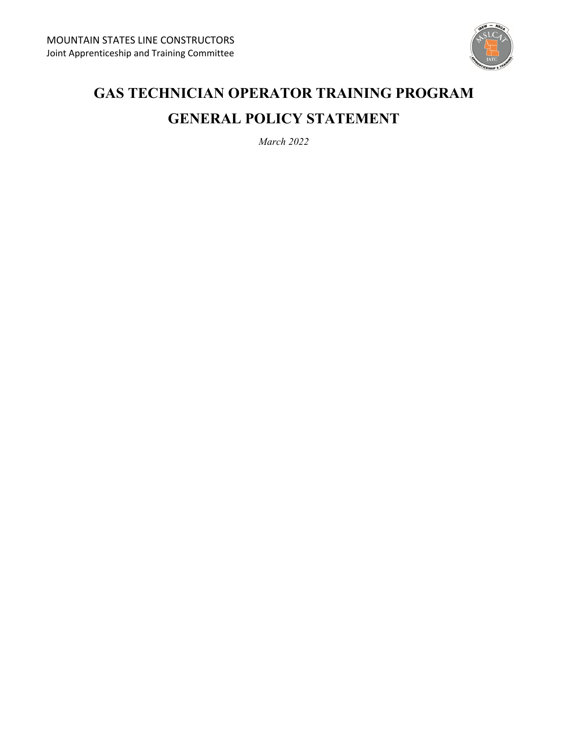

# **GAS TECHNICIAN OPERATOR TRAINING PROGRAM GENERAL POLICY STATEMENT**

*March 2022*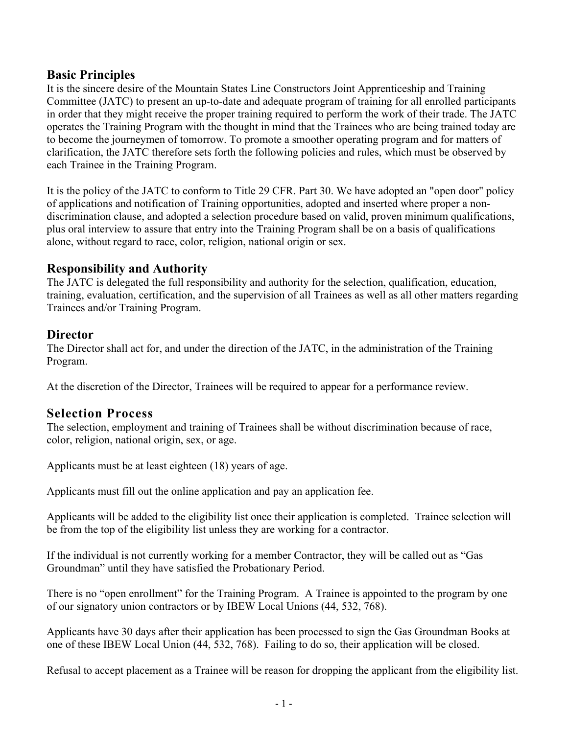#### **Basic Principles**

It is the sincere desire of the Mountain States Line Constructors Joint Apprenticeship and Training Committee (JATC) to present an up-to-date and adequate program of training for all enrolled participants in order that they might receive the proper training required to perform the work of their trade. The JATC operates the Training Program with the thought in mind that the Trainees who are being trained today are to become the journeymen of tomorrow. To promote a smoother operating program and for matters of clarification, the JATC therefore sets forth the following policies and rules, which must be observed by each Trainee in the Training Program.

It is the policy of the JATC to conform to Title 29 CFR. Part 30. We have adopted an "open door" policy of applications and notification of Training opportunities, adopted and inserted where proper a nondiscrimination clause, and adopted a selection procedure based on valid, proven minimum qualifications, plus oral interview to assure that entry into the Training Program shall be on a basis of qualifications alone, without regard to race, color, religion, national origin or sex.

#### **Responsibility and Authority**

The JATC is delegated the full responsibility and authority for the selection, qualification, education, training, evaluation, certification, and the supervision of all Trainees as well as all other matters regarding Trainees and/or Training Program.

#### **Director**

The Director shall act for, and under the direction of the JATC, in the administration of the Training Program.

At the discretion of the Director, Trainees will be required to appear for a performance review.

### **Selection Process**

The selection, employment and training of Trainees shall be without discrimination because of race, color, religion, national origin, sex, or age.

Applicants must be at least eighteen (18) years of age.

Applicants must fill out the online application and pay an application fee.

Applicants will be added to the eligibility list once their application is completed. Trainee selection will be from the top of the eligibility list unless they are working for a contractor.

If the individual is not currently working for a member Contractor, they will be called out as "Gas Groundman" until they have satisfied the Probationary Period.

There is no "open enrollment" for the Training Program. A Trainee is appointed to the program by one of our signatory union contractors or by IBEW Local Unions (44, 532, 768).

Applicants have 30 days after their application has been processed to sign the Gas Groundman Books at one of these IBEW Local Union (44, 532, 768). Failing to do so, their application will be closed.

Refusal to accept placement as a Trainee will be reason for dropping the applicant from the eligibility list.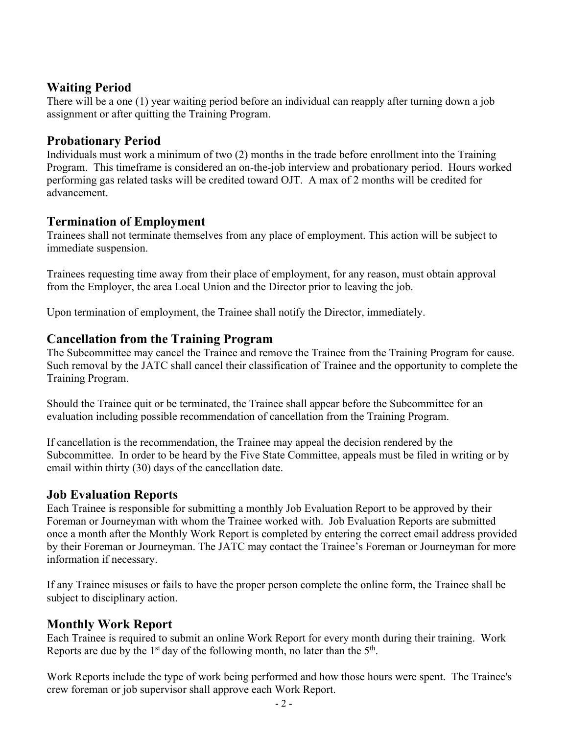### **Waiting Period**

There will be a one (1) year waiting period before an individual can reapply after turning down a job assignment or after quitting the Training Program.

### **Probationary Period**

Individuals must work a minimum of two (2) months in the trade before enrollment into the Training Program. This timeframe is considered an on-the-job interview and probationary period. Hours worked performing gas related tasks will be credited toward OJT. A max of 2 months will be credited for advancement.

## **Termination of Employment**

Trainees shall not terminate themselves from any place of employment. This action will be subject to immediate suspension.

Trainees requesting time away from their place of employment, for any reason, must obtain approval from the Employer, the area Local Union and the Director prior to leaving the job.

Upon termination of employment, the Trainee shall notify the Director, immediately.

### **Cancellation from the Training Program**

The Subcommittee may cancel the Trainee and remove the Trainee from the Training Program for cause. Such removal by the JATC shall cancel their classification of Trainee and the opportunity to complete the Training Program.

Should the Trainee quit or be terminated, the Trainee shall appear before the Subcommittee for an evaluation including possible recommendation of cancellation from the Training Program.

If cancellation is the recommendation, the Trainee may appeal the decision rendered by the Subcommittee. In order to be heard by the Five State Committee, appeals must be filed in writing or by email within thirty (30) days of the cancellation date.

### **Job Evaluation Reports**

Each Trainee is responsible for submitting a monthly Job Evaluation Report to be approved by their Foreman or Journeyman with whom the Trainee worked with. Job Evaluation Reports are submitted once a month after the Monthly Work Report is completed by entering the correct email address provided by their Foreman or Journeyman. The JATC may contact the Trainee's Foreman or Journeyman for more information if necessary.

If any Trainee misuses or fails to have the proper person complete the online form, the Trainee shall be subject to disciplinary action.

### **Monthly Work Report**

Each Trainee is required to submit an online Work Report for every month during their training. Work Reports are due by the  $1<sup>st</sup>$  day of the following month, no later than the  $5<sup>th</sup>$ .

Work Reports include the type of work being performed and how those hours were spent. The Trainee's crew foreman or job supervisor shall approve each Work Report.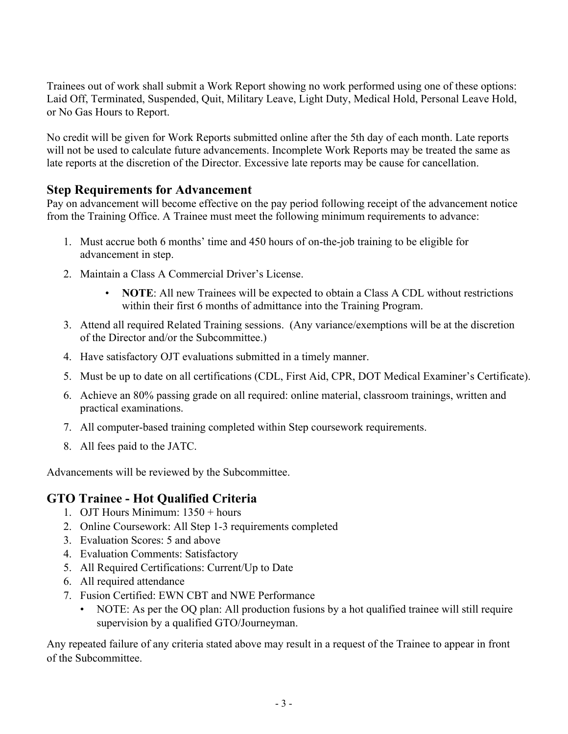Trainees out of work shall submit a Work Report showing no work performed using one of these options: Laid Off, Terminated, Suspended, Quit, Military Leave, Light Duty, Medical Hold, Personal Leave Hold, or No Gas Hours to Report.

No credit will be given for Work Reports submitted online after the 5th day of each month. Late reports will not be used to calculate future advancements. Incomplete Work Reports may be treated the same as late reports at the discretion of the Director. Excessive late reports may be cause for cancellation.

### **Step Requirements for Advancement**

Pay on advancement will become effective on the pay period following receipt of the advancement notice from the Training Office. A Trainee must meet the following minimum requirements to advance:

- 1. Must accrue both 6 months' time and 450 hours of on-the-job training to be eligible for advancement in step.
- 2. Maintain a Class A Commercial Driver's License.
	- **NOTE:** All new Trainees will be expected to obtain a Class A CDL without restrictions within their first 6 months of admittance into the Training Program.
- 3. Attend all required Related Training sessions. (Any variance/exemptions will be at the discretion of the Director and/or the Subcommittee.)
- 4. Have satisfactory OJT evaluations submitted in a timely manner.
- 5. Must be up to date on all certifications (CDL, First Aid, CPR, DOT Medical Examiner's Certificate).
- 6. Achieve an 80% passing grade on all required: online material, classroom trainings, written and practical examinations.
- 7. All computer-based training completed within Step coursework requirements.
- 8. All fees paid to the JATC.

Advancements will be reviewed by the Subcommittee.

## **GTO Trainee - Hot Qualified Criteria**

- 1. OJT Hours Minimum: 1350 + hours
- 2. Online Coursework: All Step 1-3 requirements completed
- 3. Evaluation Scores: 5 and above
- 4. Evaluation Comments: Satisfactory
- 5. All Required Certifications: Current/Up to Date
- 6. All required attendance
- 7. Fusion Certified: EWN CBT and NWE Performance
	- NOTE: As per the OQ plan: All production fusions by a hot qualified trainee will still require supervision by a qualified GTO/Journeyman.

Any repeated failure of any criteria stated above may result in a request of the Trainee to appear in front of the Subcommittee.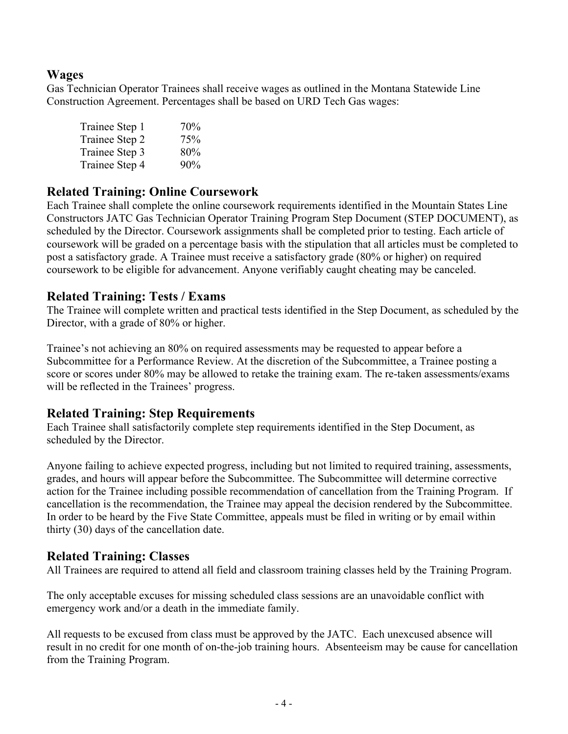#### **Wages**

Gas Technician Operator Trainees shall receive wages as outlined in the Montana Statewide Line Construction Agreement. Percentages shall be based on URD Tech Gas wages:

| Trainee Step 1 | 70% |
|----------------|-----|
| Trainee Step 2 | 75% |
| Trainee Step 3 | 80% |
| Trainee Step 4 | 90% |

#### **Related Training: Online Coursework**

Each Trainee shall complete the online coursework requirements identified in the Mountain States Line Constructors JATC Gas Technician Operator Training Program Step Document (STEP DOCUMENT), as scheduled by the Director. Coursework assignments shall be completed prior to testing. Each article of coursework will be graded on a percentage basis with the stipulation that all articles must be completed to post a satisfactory grade. A Trainee must receive a satisfactory grade (80% or higher) on required coursework to be eligible for advancement. Anyone verifiably caught cheating may be canceled.

#### **Related Training: Tests / Exams**

The Trainee will complete written and practical tests identified in the Step Document, as scheduled by the Director, with a grade of 80% or higher.

Trainee's not achieving an 80% on required assessments may be requested to appear before a Subcommittee for a Performance Review. At the discretion of the Subcommittee, a Trainee posting a score or scores under 80% may be allowed to retake the training exam. The re-taken assessments/exams will be reflected in the Trainees' progress.

#### **Related Training: Step Requirements**

Each Trainee shall satisfactorily complete step requirements identified in the Step Document, as scheduled by the Director.

Anyone failing to achieve expected progress, including but not limited to required training, assessments, grades, and hours will appear before the Subcommittee. The Subcommittee will determine corrective action for the Trainee including possible recommendation of cancellation from the Training Program. If cancellation is the recommendation, the Trainee may appeal the decision rendered by the Subcommittee. In order to be heard by the Five State Committee, appeals must be filed in writing or by email within thirty (30) days of the cancellation date.

#### **Related Training: Classes**

All Trainees are required to attend all field and classroom training classes held by the Training Program.

The only acceptable excuses for missing scheduled class sessions are an unavoidable conflict with emergency work and/or a death in the immediate family.

All requests to be excused from class must be approved by the JATC. Each unexcused absence will result in no credit for one month of on-the-job training hours. Absenteeism may be cause for cancellation from the Training Program.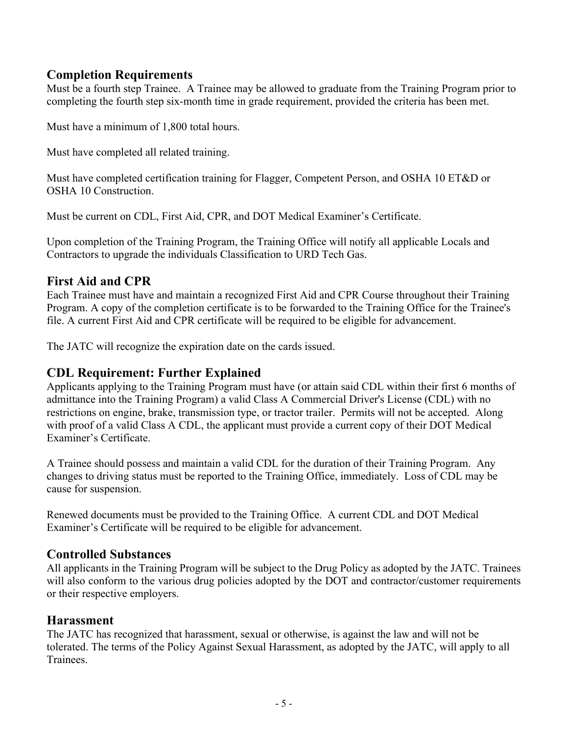#### **Completion Requirements**

Must be a fourth step Trainee. A Trainee may be allowed to graduate from the Training Program prior to completing the fourth step six-month time in grade requirement, provided the criteria has been met.

Must have a minimum of 1,800 total hours.

Must have completed all related training.

Must have completed certification training for Flagger, Competent Person, and OSHA 10 ET&D or OSHA 10 Construction.

Must be current on CDL, First Aid, CPR, and DOT Medical Examiner's Certificate.

Upon completion of the Training Program, the Training Office will notify all applicable Locals and Contractors to upgrade the individuals Classification to URD Tech Gas.

## **First Aid and CPR**

Each Trainee must have and maintain a recognized First Aid and CPR Course throughout their Training Program. A copy of the completion certificate is to be forwarded to the Training Office for the Trainee's file. A current First Aid and CPR certificate will be required to be eligible for advancement.

The JATC will recognize the expiration date on the cards issued.

## **CDL Requirement: Further Explained**

Applicants applying to the Training Program must have (or attain said CDL within their first 6 months of admittance into the Training Program) a valid Class A Commercial Driver's License (CDL) with no restrictions on engine, brake, transmission type, or tractor trailer. Permits will not be accepted. Along with proof of a valid Class A CDL, the applicant must provide a current copy of their DOT Medical Examiner's Certificate.

A Trainee should possess and maintain a valid CDL for the duration of their Training Program. Any changes to driving status must be reported to the Training Office, immediately. Loss of CDL may be cause for suspension.

Renewed documents must be provided to the Training Office. A current CDL and DOT Medical Examiner's Certificate will be required to be eligible for advancement.

### **Controlled Substances**

All applicants in the Training Program will be subject to the Drug Policy as adopted by the JATC. Trainees will also conform to the various drug policies adopted by the DOT and contractor/customer requirements or their respective employers.

### **Harassment**

The JATC has recognized that harassment, sexual or otherwise, is against the law and will not be tolerated. The terms of the Policy Against Sexual Harassment, as adopted by the JATC, will apply to all Trainees.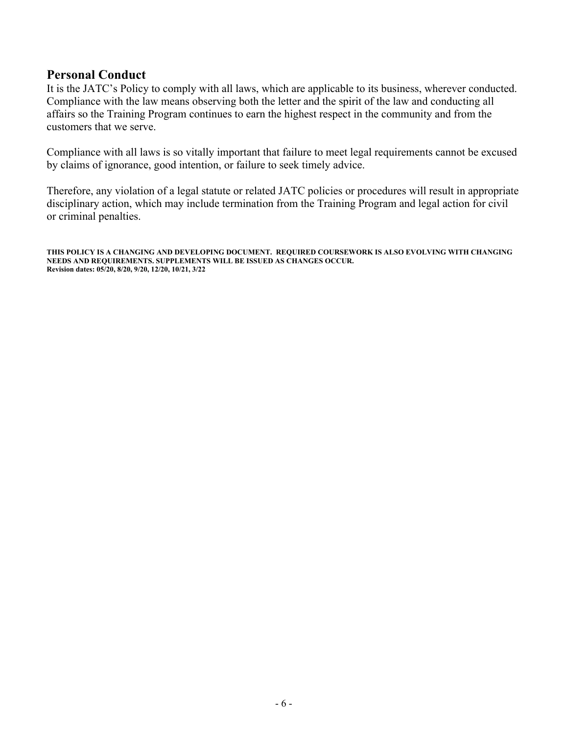#### **Personal Conduct**

It is the JATC's Policy to comply with all laws, which are applicable to its business, wherever conducted. Compliance with the law means observing both the letter and the spirit of the law and conducting all affairs so the Training Program continues to earn the highest respect in the community and from the customers that we serve.

Compliance with all laws is so vitally important that failure to meet legal requirements cannot be excused by claims of ignorance, good intention, or failure to seek timely advice.

Therefore, any violation of a legal statute or related JATC policies or procedures will result in appropriate disciplinary action, which may include termination from the Training Program and legal action for civil or criminal penalties.

**THIS POLICY IS A CHANGING AND DEVELOPING DOCUMENT. REQUIRED COURSEWORK IS ALSO EVOLVING WITH CHANGING NEEDS AND REQUIREMENTS. SUPPLEMENTS WILL BE ISSUED AS CHANGES OCCUR. Revision dates: 05/20, 8/20, 9/20, 12/20, 10/21, 3/22**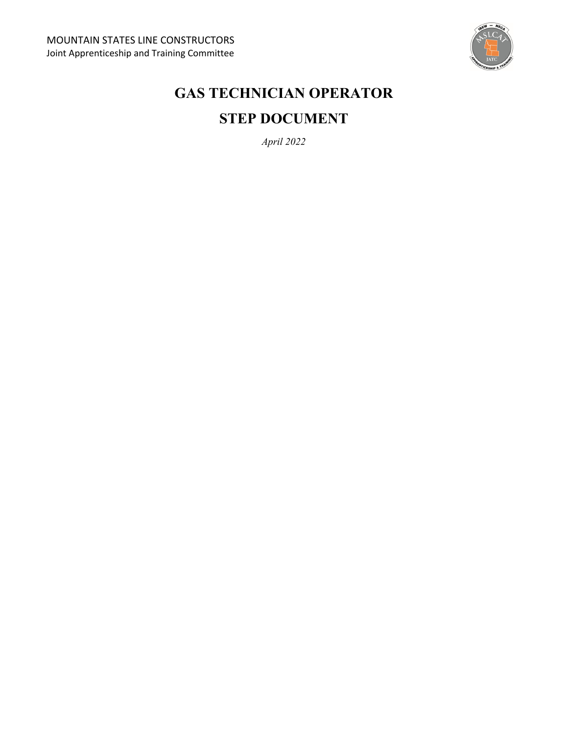

# **GAS TECHNICIAN OPERATOR STEP DOCUMENT**

*April 2022*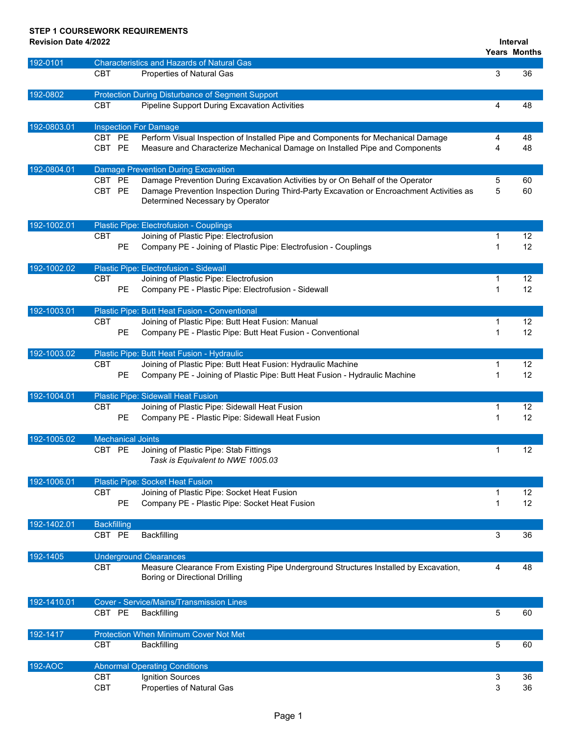## **STEP 1 COURSEWORK REQUIREMENTS**

**Revision Date 4/2022**

**Interval**

|             |                    |                                                                                                                              |              | <b>Years Months</b> |
|-------------|--------------------|------------------------------------------------------------------------------------------------------------------------------|--------------|---------------------|
| 192-0101    |                    | <b>Characteristics and Hazards of Natural Gas</b>                                                                            |              |                     |
|             | <b>CBT</b>         | Properties of Natural Gas                                                                                                    | 3            | 36                  |
| 192-0802    |                    | <b>Protection During Disturbance of Segment Support</b>                                                                      |              |                     |
|             | <b>CBT</b>         | <b>Pipeline Support During Excavation Activities</b>                                                                         | 4            | 48                  |
| 192-0803.01 |                    | <b>Inspection For Damage</b>                                                                                                 |              |                     |
|             | CBT PE             | Perform Visual Inspection of Installed Pipe and Components for Mechanical Damage                                             | 4            | 48                  |
|             | CBT PE             | Measure and Characterize Mechanical Damage on Installed Pipe and Components                                                  | 4            | 48                  |
| 192-0804.01 |                    | <b>Damage Prevention During Excavation</b>                                                                                   |              |                     |
|             | CBT PE             | Damage Prevention During Excavation Activities by or On Behalf of the Operator                                               | 5            | 60                  |
|             | CBT PE             | Damage Prevention Inspection During Third-Party Excavation or Encroachment Activities as<br>Determined Necessary by Operator | 5            | 60                  |
| 192-1002.01 |                    | Plastic Pipe: Electrofusion - Couplings                                                                                      |              |                     |
|             | <b>CBT</b>         | Joining of Plastic Pipe: Electrofusion                                                                                       | 1            | 12                  |
|             |                    | <b>PE</b><br>Company PE - Joining of Plastic Pipe: Electrofusion - Couplings                                                 | $\mathbf{1}$ | 12                  |
| 192-1002.02 |                    | Plastic Pipe: Electrofusion - Sidewall                                                                                       |              |                     |
|             | <b>CBT</b>         | Joining of Plastic Pipe: Electrofusion                                                                                       | 1            | 12                  |
|             |                    | <b>PE</b><br>Company PE - Plastic Pipe: Electrofusion - Sidewall                                                             | 1            | 12                  |
| 192-1003.01 |                    | Plastic Pipe: Butt Heat Fusion - Conventional                                                                                |              |                     |
|             | <b>CBT</b>         | Joining of Plastic Pipe: Butt Heat Fusion: Manual                                                                            | 1            | 12                  |
|             |                    | PE<br>Company PE - Plastic Pipe: Butt Heat Fusion - Conventional                                                             | 1            | 12                  |
| 192-1003.02 |                    | Plastic Pipe: Butt Heat Fusion - Hydraulic                                                                                   |              |                     |
|             | <b>CBT</b>         | Joining of Plastic Pipe: Butt Heat Fusion: Hydraulic Machine                                                                 | 1            | 12                  |
|             |                    | PE<br>Company PE - Joining of Plastic Pipe: Butt Heat Fusion - Hydraulic Machine                                             | 1            | 12                  |
| 192-1004.01 |                    | <b>Plastic Pipe: Sidewall Heat Fusion</b>                                                                                    |              |                     |
|             | <b>CBT</b>         | Joining of Plastic Pipe: Sidewall Heat Fusion                                                                                | 1            | 12                  |
|             |                    | Company PE - Plastic Pipe: Sidewall Heat Fusion<br>PE                                                                        | 1            | 12                  |
| 192-1005.02 |                    | <b>Mechanical Joints</b>                                                                                                     |              |                     |
|             | CBT PE             | Joining of Plastic Pipe: Stab Fittings                                                                                       | 1            | 12                  |
|             |                    | Task is Equivalent to NWE 1005.03                                                                                            |              |                     |
| 192-1006.01 |                    | Plastic Pipe: Socket Heat Fusion                                                                                             |              |                     |
|             | <b>CBT</b>         | Joining of Plastic Pipe: Socket Heat Fusion                                                                                  | 1            | 12                  |
|             |                    | PE<br>Company PE - Plastic Pipe: Socket Heat Fusion                                                                          | 1            | 12                  |
| 192-1402.01 | <b>Backfilling</b> |                                                                                                                              |              |                     |
|             | CBT PE             | Backfilling                                                                                                                  | 3            | 36                  |
| 192-1405    |                    | <b>Underground Clearances</b>                                                                                                |              |                     |
|             | <b>CBT</b>         | Measure Clearance From Existing Pipe Underground Structures Installed by Excavation,                                         | 4            | 48                  |
|             |                    | <b>Boring or Directional Drilling</b>                                                                                        |              |                     |
| 192-1410.01 |                    | <b>Cover - Service/Mains/Transmission Lines</b>                                                                              |              |                     |
|             | CBT PE             | Backfilling                                                                                                                  | 5            | 60                  |
| 192-1417    |                    | Protection When Minimum Cover Not Met                                                                                        |              |                     |
|             | <b>CBT</b>         | Backfilling                                                                                                                  | 5            | 60                  |
| 192-AOC     |                    | <b>Abnormal Operating Conditions</b>                                                                                         |              |                     |
|             | <b>CBT</b>         | Ignition Sources                                                                                                             | 3            | 36                  |
|             | CBT                | Properties of Natural Gas                                                                                                    | 3            | 36                  |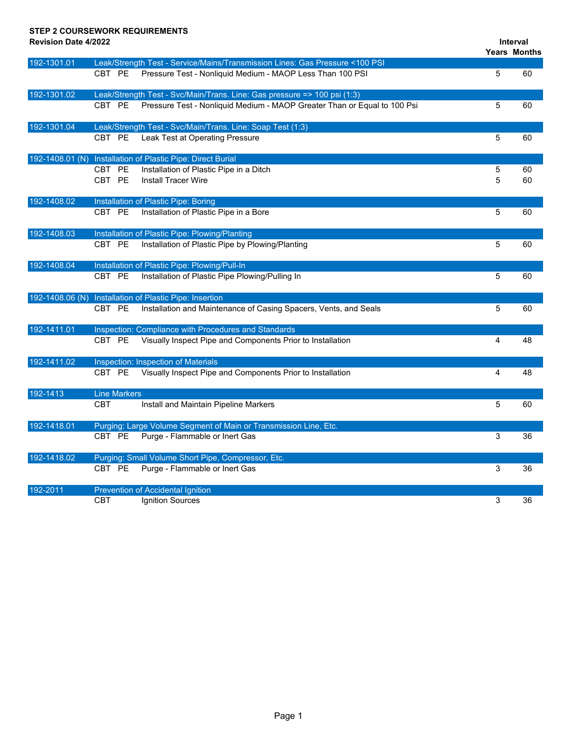#### **STEP 2 COURSEWORK REQUIREMENTS**

**Revision Date 4/2022**

```
Interval
```

|                 |            |                     |                                                                              |   | <b>Years Months</b> |
|-----------------|------------|---------------------|------------------------------------------------------------------------------|---|---------------------|
| 192-1301.01     |            |                     | Leak/Strength Test - Service/Mains/Transmission Lines: Gas Pressure <100 PSI |   |                     |
|                 | CBT PE     |                     | Pressure Test - Nonliquid Medium - MAOP Less Than 100 PSI                    | 5 | 60                  |
| 192-1301.02     |            |                     | Leak/Strength Test - Svc/Main/Trans. Line: Gas pressure => 100 psi (1:3)     |   |                     |
|                 | CBT PE     |                     | Pressure Test - Nonliquid Medium - MAOP Greater Than or Equal to 100 Psi     | 5 | 60                  |
| 192-1301.04     |            |                     | Leak/Strength Test - Svc/Main/Trans. Line: Soap Test (1:3)                   |   |                     |
|                 | CBT PE     |                     | Leak Test at Operating Pressure                                              | 5 | 60                  |
| 192-1408.01 (N) |            |                     | Installation of Plastic Pipe: Direct Burial                                  |   |                     |
|                 | CBT PE     |                     | Installation of Plastic Pipe in a Ditch                                      | 5 | 60                  |
|                 | CBT PE     |                     | <b>Install Tracer Wire</b>                                                   | 5 | 60                  |
| 192-1408.02     |            |                     | Installation of Plastic Pipe: Boring                                         |   |                     |
|                 | CBT PE     |                     | Installation of Plastic Pipe in a Bore                                       | 5 | 60                  |
| 192-1408.03     |            |                     | Installation of Plastic Pipe: Plowing/Planting                               |   |                     |
|                 | CBT PE     |                     | Installation of Plastic Pipe by Plowing/Planting                             | 5 | 60                  |
| 192-1408.04     |            |                     | Installation of Plastic Pipe: Plowing/Pull-In                                |   |                     |
|                 | CBT PE     |                     | Installation of Plastic Pipe Plowing/Pulling In                              | 5 | 60                  |
| 192-1408.06 (N) |            |                     | Installation of Plastic Pipe: Insertion                                      |   |                     |
|                 | CBT PE     |                     | Installation and Maintenance of Casing Spacers, Vents, and Seals             | 5 | 60                  |
| 192-1411.01     |            |                     | Inspection: Compliance with Procedures and Standards                         |   |                     |
|                 | CBT PE     |                     | Visually Inspect Pipe and Components Prior to Installation                   | 4 | 48                  |
| 192-1411.02     |            |                     | Inspection: Inspection of Materials                                          |   |                     |
|                 | CBT PE     |                     | Visually Inspect Pipe and Components Prior to Installation                   | 4 | 48                  |
| 192-1413        |            | <b>Line Markers</b> |                                                                              |   |                     |
|                 | <b>CBT</b> |                     | Install and Maintain Pipeline Markers                                        | 5 | 60                  |
| 192-1418.01     |            |                     | Purging: Large Volume Segment of Main or Transmission Line, Etc.             |   |                     |
|                 | CBT PE     |                     | Purge - Flammable or Inert Gas                                               | 3 | 36                  |
| 192-1418.02     |            |                     | Purging: Small Volume Short Pipe, Compressor, Etc.                           |   |                     |
|                 | CBT PE     |                     | Purge - Flammable or Inert Gas                                               | 3 | 36                  |
| 192-2011        |            |                     | <b>Prevention of Accidental Ignition</b>                                     |   |                     |
|                 | <b>CBT</b> |                     | Ignition Sources                                                             | 3 | 36                  |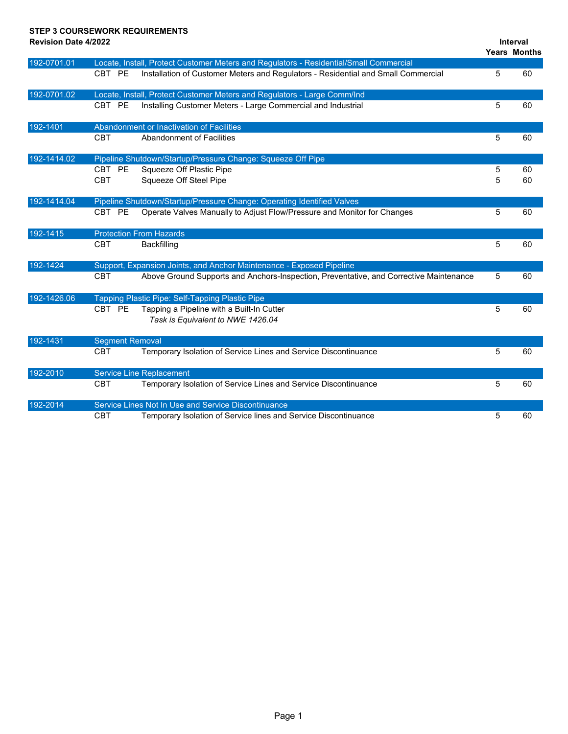## **STEP 3 COURSEWORK REQUIREMENTS**

| <b>Revision Date 4/2022</b> |                        |                                                                                        |   | Interval            |
|-----------------------------|------------------------|----------------------------------------------------------------------------------------|---|---------------------|
|                             |                        |                                                                                        |   | <b>Years Months</b> |
| 192-0701.01                 |                        | Locate, Install, Protect Customer Meters and Regulators - Residential/Small Commercial |   |                     |
|                             | CBT PE                 | Installation of Customer Meters and Regulators - Residential and Small Commercial      | 5 | 60                  |
| 192-0701.02                 |                        | Locate, Install, Protect Customer Meters and Regulators - Large Comm/Ind               |   |                     |
|                             | CBT PE                 | Installing Customer Meters - Large Commercial and Industrial                           | 5 | 60                  |
| 192-1401                    |                        | Abandonment or Inactivation of Facilities                                              |   |                     |
|                             | <b>CBT</b>             | Abandonment of Facilities                                                              | 5 | 60                  |
| 192-1414.02                 |                        | Pipeline Shutdown/Startup/Pressure Change: Squeeze Off Pipe                            |   |                     |
|                             | CBT PE                 | Squeeze Off Plastic Pipe                                                               | 5 | 60                  |
|                             | <b>CBT</b>             | Squeeze Off Steel Pipe                                                                 | 5 | 60                  |
| 192-1414.04                 |                        | Pipeline Shutdown/Startup/Pressure Change: Operating Identified Valves                 |   |                     |
|                             | CBT PE                 | Operate Valves Manually to Adjust Flow/Pressure and Monitor for Changes                | 5 | 60                  |
| 192-1415                    |                        | <b>Protection From Hazards</b>                                                         |   |                     |
|                             | <b>CBT</b>             | Backfilling                                                                            | 5 | 60                  |
| 192-1424                    |                        | Support, Expansion Joints, and Anchor Maintenance - Exposed Pipeline                   |   |                     |
|                             | <b>CBT</b>             | Above Ground Supports and Anchors-Inspection, Preventative, and Corrective Maintenance | 5 | 60                  |
| 192-1426.06                 |                        | Tapping Plastic Pipe: Self-Tapping Plastic Pipe                                        |   |                     |
|                             | CBT PE                 | Tapping a Pipeline with a Built-In Cutter                                              | 5 | 60                  |
|                             |                        | Task is Equivalent to NWE 1426.04                                                      |   |                     |
| 192-1431                    | <b>Segment Removal</b> |                                                                                        |   |                     |
|                             | <b>CBT</b>             | Temporary Isolation of Service Lines and Service Discontinuance                        | 5 | 60                  |
| 192-2010                    |                        | <b>Service Line Replacement</b>                                                        |   |                     |
|                             | <b>CBT</b>             | Temporary Isolation of Service Lines and Service Discontinuance                        | 5 | 60                  |
| 192-2014                    |                        | Service Lines Not In Use and Service Discontinuance                                    |   |                     |
|                             | <b>CBT</b>             | Temporary Isolation of Service lines and Service Discontinuance                        | 5 | 60                  |